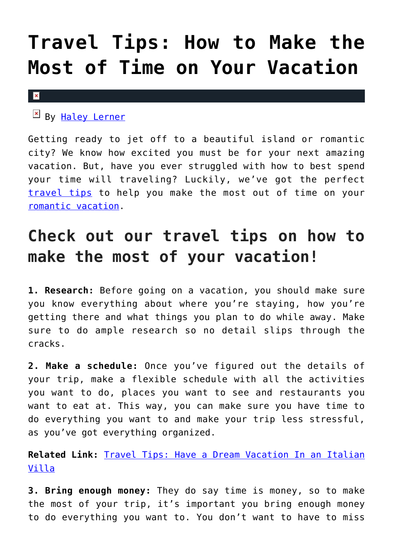## **[Travel Tips: How to Make the](https://cupidspulse.com/125785/travel-tips-make-most-time-vacation/) [Most of Time on Your Vacation](https://cupidspulse.com/125785/travel-tips-make-most-time-vacation/)**

## $\mathbf x$

By [Haley Lerner](http://cupidspulse.com/126165/haley-lerner/)

Getting ready to jet off to a beautiful island or romantic city? We know how excited you must be for your next amazing vacation. But, have you ever struggled with how to best spend your time will traveling? Luckily, we've got the perfect [travel tips](http://cupidspulse.com/travel/) to help you make the most out of time on your [romantic vacation.](http://cupidspulse.com/travel/)

## **Check out our travel tips on how to make the most of your vacation!**

**1. Research:** Before going on a vacation, you should make sure you know everything about where you're staying, how you're getting there and what things you plan to do while away. Make sure to do ample research so no detail slips through the cracks.

**2. Make a schedule:** Once you've figured out the details of your trip, make a flexible schedule with all the activities you want to do, places you want to see and restaurants you want to eat at. This way, you can make sure you have time to do everything you want to and make your trip less stressful, as you've got everything organized.

**Related Link:** [Travel Tips: Have a Dream Vacation In an Italian](http://cupidspulse.com/125755/dream-vacation-italian-villa/) [Villa](http://cupidspulse.com/125755/dream-vacation-italian-villa/)

**3. Bring enough money:** They do say time is money, so to make the most of your trip, it's important you bring enough money to do everything you want to. You don't want to have to miss